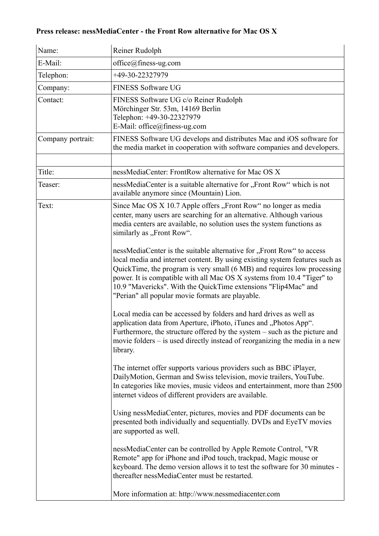## **Press release: nessMediaCenter - the Front Row alternative for Mac OS X**

| Name:             | Reiner Rudolph                                                                                                                                                                                                                                                                                                                                                                                                                  |
|-------------------|---------------------------------------------------------------------------------------------------------------------------------------------------------------------------------------------------------------------------------------------------------------------------------------------------------------------------------------------------------------------------------------------------------------------------------|
| E-Mail:           | $office@finess-ug.com$                                                                                                                                                                                                                                                                                                                                                                                                          |
| Telephon:         | +49-30-22327979                                                                                                                                                                                                                                                                                                                                                                                                                 |
| Company:          | <b>FINESS Software UG</b>                                                                                                                                                                                                                                                                                                                                                                                                       |
| Contact:          | FINESS Software UG c/o Reiner Rudolph<br>Mörchinger Str. 53m, 14169 Berlin<br>Telephon: +49-30-22327979<br>E-Mail: office@finess-ug.com                                                                                                                                                                                                                                                                                         |
| Company portrait: | FINESS Software UG develops and distributes Mac and iOS software for<br>the media market in cooperation with software companies and developers.                                                                                                                                                                                                                                                                                 |
| Title:            | nessMediaCenter: FrontRow alternative for Mac OS X                                                                                                                                                                                                                                                                                                                                                                              |
| Teaser:           |                                                                                                                                                                                                                                                                                                                                                                                                                                 |
|                   | nessMediaCenter is a suitable alternative for "Front Row" which is not<br>available anymore since (Mountain) Lion.                                                                                                                                                                                                                                                                                                              |
| Text:             | Since Mac OS X 10.7 Apple offers, Front Row" no longer as media<br>center, many users are searching for an alternative. Although various<br>media centers are available, no solution uses the system functions as<br>similarly as "Front Row".                                                                                                                                                                                  |
|                   | nessMediaCenter is the suitable alternative for "Front Row" to access<br>local media and internet content. By using existing system features such as<br>QuickTime, the program is very small (6 MB) and requires low processing<br>power. It is compatible with all Mac OS X systems from 10.4 "Tiger" to<br>10.9 "Mavericks". With the QuickTime extensions "Flip4Mac" and<br>"Perian" all popular movie formats are playable. |
|                   | Local media can be accessed by folders and hard drives as well as<br>application data from Aperture, iPhoto, iTunes and "Photos App".<br>Furthermore, the structure offered by the system – such as the picture and<br>movie folders – is used directly instead of reorganizing the media in a new<br>library.                                                                                                                  |
|                   | The internet offer supports various providers such as BBC iPlayer,<br>DailyMotion, German and Swiss television, movie trailers, YouTube.<br>In categories like movies, music videos and entertainment, more than 2500<br>internet videos of different providers are available.                                                                                                                                                  |
|                   | Using nessMediaCenter, pictures, movies and PDF documents can be<br>presented both individually and sequentially. DVDs and EyeTV movies<br>are supported as well.                                                                                                                                                                                                                                                               |
|                   | nessMediaCenter can be controlled by Apple Remote Control, "VR<br>Remote" app for iPhone and iPod touch, trackpad, Magic mouse or<br>keyboard. The demo version allows it to test the software for 30 minutes -<br>thereafter nessMediaCenter must be restarted.                                                                                                                                                                |
|                   | More information at: http://www.nessmediacenter.com                                                                                                                                                                                                                                                                                                                                                                             |